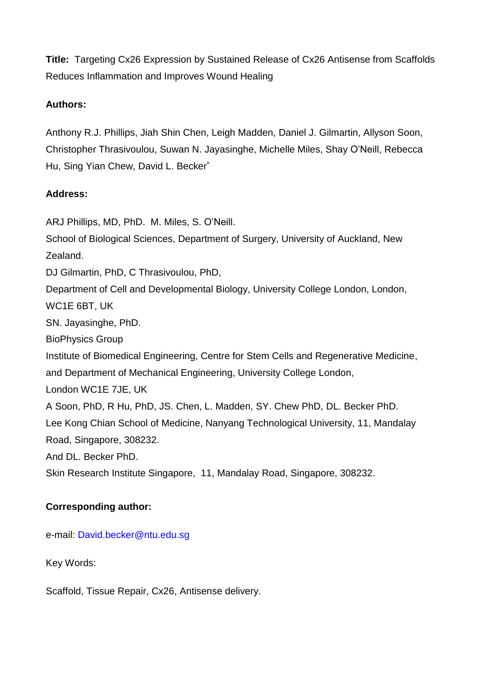**Title:** Targeting Cx26 Expression by Sustained Release of Cx26 Antisense from Scaffolds Reduces Inflammation and Improves Wound Healing

## **Authors:**

Anthony R.J. Phillips, Jiah Shin Chen, Leigh Madden, Daniel J. Gilmartin, Allyson Soon, Christopher Thrasivoulou, Suwan N. Jayasinghe, Michelle Miles, Shay O'Neill, Rebecca Hu, Sing Yian Chew, David L. Becker\*

## **Address:**

ARJ Phillips, MD, PhD. M. Miles, S. O'Neill.

School of Biological Sciences, Department of Surgery, University of Auckland, New Zealand.

DJ Gilmartin, PhD, C Thrasivoulou, PhD,

Department of Cell and Developmental Biology, University College London, London, WC1E 6BT, UK

SN. Jayasinghe, PhD.

BioPhysics Group

Institute of Biomedical Engineering, Centre for Stem Cells and Regenerative Medicine, and Department of Mechanical Engineering, University College London,

London WC1E 7JE, UK

A Soon, PhD, R Hu, PhD, JS. Chen, L. Madden, SY. Chew PhD, DL. Becker PhD. Lee Kong Chian School of Medicine, Nanyang Technological University, 11, Mandalay Road, Singapore, 308232.

And DL. Becker PhD.

Skin Research Institute Singapore, 11, Mandalay Road, Singapore, 308232.

# **Corresponding author:**

e-mail: David.becker@ntu.edu.sg

Key Words:

Scaffold, Tissue Repair, Cx26, Antisense delivery.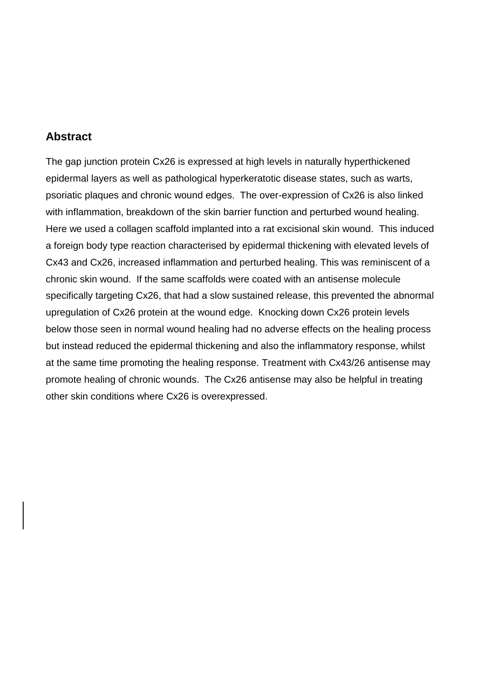# **Abstract**

The gap junction protein Cx26 is expressed at high levels in naturally hyperthickened epidermal layers as well as pathological hyperkeratotic disease states, such as warts, psoriatic plaques and chronic wound edges. The over-expression of Cx26 is also linked with inflammation, breakdown of the skin barrier function and perturbed wound healing. Here we used a collagen scaffold implanted into a rat excisional skin wound. This induced a foreign body type reaction characterised by epidermal thickening with elevated levels of Cx43 and Cx26, increased inflammation and perturbed healing. This was reminiscent of a chronic skin wound. If the same scaffolds were coated with an antisense molecule specifically targeting Cx26, that had a slow sustained release, this prevented the abnormal upregulation of Cx26 protein at the wound edge. Knocking down Cx26 protein levels below those seen in normal wound healing had no adverse effects on the healing process but instead reduced the epidermal thickening and also the inflammatory response, whilst at the same time promoting the healing response. Treatment with Cx43/26 antisense may promote healing of chronic wounds. The Cx26 antisense may also be helpful in treating other skin conditions where Cx26 is overexpressed.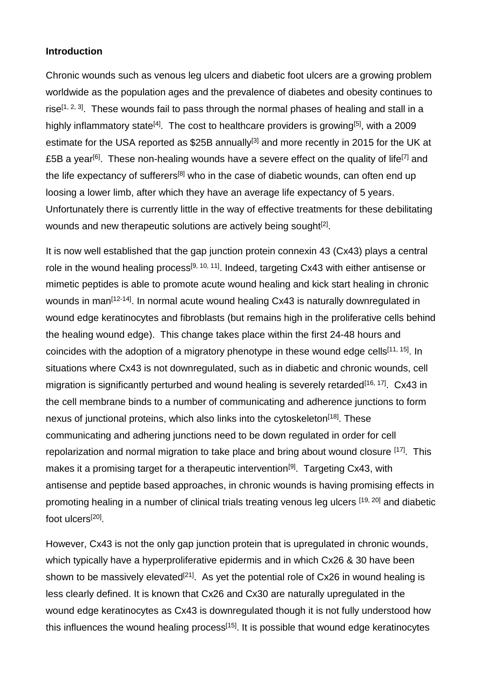### **Introduction**

Chronic wounds such as venous leg ulcers and diabetic foot ulcers are a growing problem worldwide as the population ages and the prevalence of diabetes and obesity continues to rise<sup>[1, 2, 3]</sup>. These wounds fail to pass through the normal phases of healing and stall in a highly inflammatory state<sup>[4]</sup>. The cost to healthcare providers is growing<sup>[5]</sup>, with a 2009 estimate for the USA reported as \$25B annually<sup>[3]</sup> and more recently in 2015 for the UK at £5B a year<sup>[6]</sup>. These non-healing wounds have a severe effect on the quality of life<sup>[7]</sup> and the life expectancy of sufferers<sup>[8]</sup> who in the case of diabetic wounds, can often end up loosing a lower limb, after which they have an average life expectancy of 5 years. Unfortunately there is currently little in the way of effective treatments for these debilitating wounds and new therapeutic solutions are actively being sought<sup>[2]</sup>.

It is now well established that the gap junction protein connexin 43 (Cx43) plays a central role in the wound healing process<sup>[9, 10, 11]</sup>. Indeed, targeting Cx43 with either antisense or mimetic peptides is able to promote acute wound healing and kick start healing in chronic wounds in man<sup>[12-14]</sup>. In normal acute wound healing Cx43 is naturally downregulated in wound edge keratinocytes and fibroblasts (but remains high in the proliferative cells behind the healing wound edge). This change takes place within the first 24-48 hours and coincides with the adoption of a migratory phenotype in these wound edge cells<sup>[11, 15]</sup>. In situations where Cx43 is not downregulated, such as in diabetic and chronic wounds, cell migration is significantly perturbed and wound healing is severely retarded<sup>[16, 17]</sup>. Cx43 in the cell membrane binds to a number of communicating and adherence junctions to form nexus of junctional proteins, which also links into the cytoskeleton<sup>[18]</sup>. These communicating and adhering junctions need to be down regulated in order for cell repolarization and normal migration to take place and bring about wound closure <sup>[17]</sup>. This makes it a promising target for a therapeutic intervention<sup>[9]</sup>. Targeting Cx43, with antisense and peptide based approaches, in chronic wounds is having promising effects in promoting healing in a number of clinical trials treating venous leg ulcers [19, 20] and diabetic foot ulcers<sup>[20]</sup>.

However, Cx43 is not the only gap junction protein that is upregulated in chronic wounds, which typically have a hyperproliferative epidermis and in which Cx26 & 30 have been shown to be massively elevated<sup>[21]</sup>. As yet the potential role of  $Cx26$  in wound healing is less clearly defined. It is known that Cx26 and Cx30 are naturally upregulated in the wound edge keratinocytes as Cx43 is downregulated though it is not fully understood how this influences the wound healing process<sup>[15]</sup>. It is possible that wound edge keratinocytes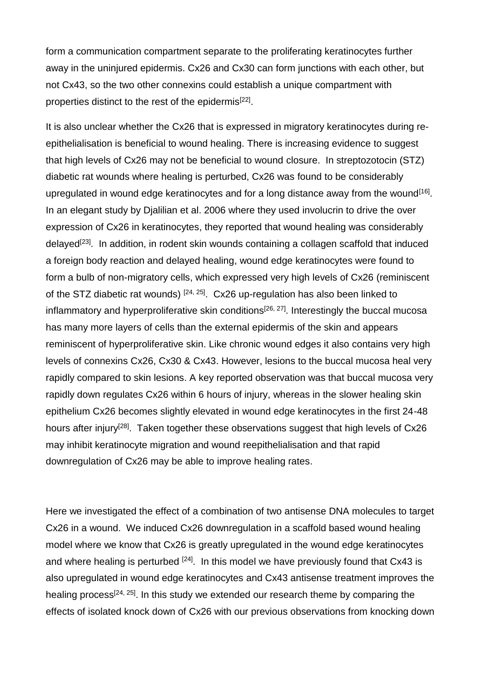form a communication compartment separate to the proliferating keratinocytes further away in the uninjured epidermis. Cx26 and Cx30 can form junctions with each other, but not Cx43, so the two other connexins could establish a unique compartment with properties distinct to the rest of the epidermis<sup>[22]</sup>.

It is also unclear whether the Cx26 that is expressed in migratory keratinocytes during reepithelialisation is beneficial to wound healing. There is increasing evidence to suggest that high levels of Cx26 may not be beneficial to wound closure. In streptozotocin (STZ) diabetic rat wounds where healing is perturbed, Cx26 was found to be considerably upregulated in wound edge keratinocytes and for a long distance away from the wound<sup>[16]</sup>. In an elegant study by Djalilian et al. 2006 where they used involucrin to drive the over expression of Cx26 in keratinocytes, they reported that wound healing was considerably delayed<sup>[23]</sup>. In addition, in rodent skin wounds containing a collagen scaffold that induced a foreign body reaction and delayed healing, wound edge keratinocytes were found to form a bulb of non-migratory cells, which expressed very high levels of Cx26 (reminiscent of the STZ diabetic rat wounds)  $[24, 25]$ . Cx26 up-regulation has also been linked to inflammatory and hyperproliferative skin conditions<sup>[26, 27]</sup>. Interestingly the buccal mucosa has many more layers of cells than the external epidermis of the skin and appears reminiscent of hyperproliferative skin. Like chronic wound edges it also contains very high levels of connexins Cx26, Cx30 & Cx43. However, lesions to the buccal mucosa heal very rapidly compared to skin lesions. A key reported observation was that buccal mucosa very rapidly down regulates Cx26 within 6 hours of injury, whereas in the slower healing skin epithelium Cx26 becomes slightly elevated in wound edge keratinocytes in the first 24-48 hours after injury<sup>[28]</sup>. Taken together these observations suggest that high levels of Cx26 may inhibit keratinocyte migration and wound reepithelialisation and that rapid downregulation of Cx26 may be able to improve healing rates.

Here we investigated the effect of a combination of two antisense DNA molecules to target Cx26 in a wound. We induced Cx26 downregulation in a scaffold based wound healing model where we know that Cx26 is greatly upregulated in the wound edge keratinocytes and where healing is perturbed  $[24]$ . In this model we have previously found that Cx43 is also upregulated in wound edge keratinocytes and Cx43 antisense treatment improves the healing process<sup>[24, 25]</sup>. In this study we extended our research theme by comparing the effects of isolated knock down of Cx26 with our previous observations from knocking down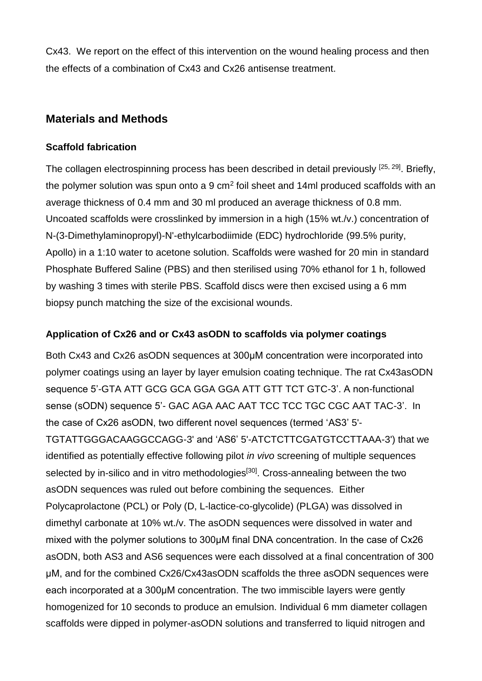Cx43. We report on the effect of this intervention on the wound healing process and then the effects of a combination of Cx43 and Cx26 antisense treatment.

# **Materials and Methods**

## **Scaffold fabrication**

The collagen electrospinning process has been described in detail previously <sup>[25, 29]</sup>. Briefly, the polymer solution was spun onto a 9  $\text{cm}^2$  foil sheet and 14ml produced scaffolds with an average thickness of 0.4 mm and 30 ml produced an average thickness of 0.8 mm. Uncoated scaffolds were crosslinked by immersion in a high (15% wt./v.) concentration of N-(3-Dimethylaminopropyl)-N'-ethylcarbodiimide (EDC) hydrochloride (99.5% purity, Apollo) in a 1:10 water to acetone solution. Scaffolds were washed for 20 min in standard Phosphate Buffered Saline (PBS) and then sterilised using 70% ethanol for 1 h, followed by washing 3 times with sterile PBS. Scaffold discs were then excised using a 6 mm biopsy punch matching the size of the excisional wounds.

# **Application of Cx26 and or Cx43 asODN to scaffolds via polymer coatings**

Both Cx43 and Cx26 asODN sequences at 300μM concentration were incorporated into polymer coatings using an layer by layer emulsion coating technique. The rat Cx43asODN sequence 5'-GTA ATT GCG GCA GGA GGA ATT GTT TCT GTC-3'. A non-functional sense (sODN) sequence 5'- GAC AGA AAC AAT TCC TCC TGC CGC AAT TAC-3'. In the case of Cx26 asODN, two different novel sequences (termed 'AS3' 5'- TGTATTGGGACAAGGCCAGG-3' and 'AS6' 5'-ATCTCTTCGATGTCCTTAAA-3') that we identified as potentially effective following pilot *in vivo* screening of multiple sequences selected by in-silico and in vitro methodologies<sup>[30]</sup>. Cross-annealing between the two asODN sequences was ruled out before combining the sequences. Either Polycaprolactone (PCL) or Poly (D, L-lactice-co-glycolide) (PLGA) was dissolved in dimethyl carbonate at 10% wt./v. The asODN sequences were dissolved in water and mixed with the polymer solutions to 300μM final DNA concentration. In the case of Cx26 asODN, both AS3 and AS6 sequences were each dissolved at a final concentration of 300 μM, and for the combined Cx26/Cx43asODN scaffolds the three asODN sequences were each incorporated at a 300μM concentration. The two immiscible layers were gently homogenized for 10 seconds to produce an emulsion. Individual 6 mm diameter collagen scaffolds were dipped in polymer-asODN solutions and transferred to liquid nitrogen and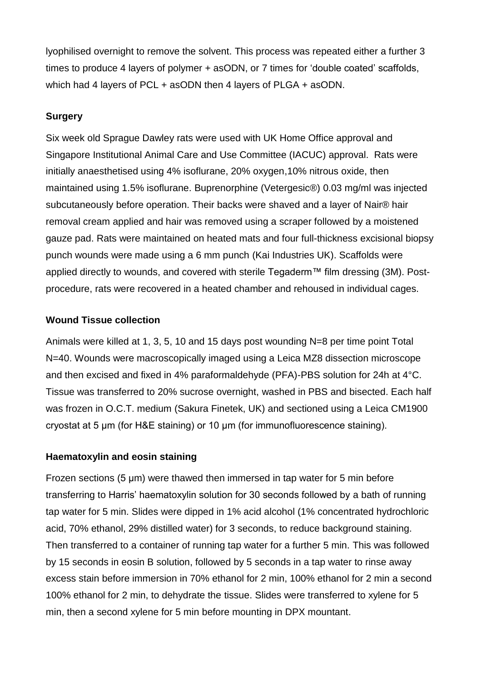lyophilised overnight to remove the solvent. This process was repeated either a further 3 times to produce 4 layers of polymer + asODN, or 7 times for 'double coated' scaffolds, which had 4 layers of PCL + asODN then 4 layers of PLGA + asODN.

## **Surgery**

Six week old Sprague Dawley rats were used with UK Home Office approval and Singapore Institutional Animal Care and Use Committee (IACUC) approval. Rats were initially anaesthetised using 4% isoflurane, 20% oxygen,10% nitrous oxide, then maintained using 1.5% isoflurane. Buprenorphine (Vetergesic®) 0.03 mg/ml was injected subcutaneously before operation. Their backs were shaved and a layer of Nair® hair removal cream applied and hair was removed using a scraper followed by a moistened gauze pad. Rats were maintained on heated mats and four full-thickness excisional biopsy punch wounds were made using a 6 mm punch (Kai Industries UK). Scaffolds were applied directly to wounds, and covered with sterile Tegaderm™ film dressing (3M). Postprocedure, rats were recovered in a heated chamber and rehoused in individual cages.

## **Wound Tissue collection**

Animals were killed at 1, 3, 5, 10 and 15 days post wounding N=8 per time point Total N=40. Wounds were macroscopically imaged using a Leica MZ8 dissection microscope and then excised and fixed in 4% paraformaldehyde (PFA)-PBS solution for 24h at 4°C. Tissue was transferred to 20% sucrose overnight, washed in PBS and bisected. Each half was frozen in O.C.T. medium (Sakura Finetek, UK) and sectioned using a Leica CM1900 cryostat at 5 μm (for H&E staining) or 10 μm (for immunofluorescence staining).

## **Haematoxylin and eosin staining**

Frozen sections (5 μm) were thawed then immersed in tap water for 5 min before transferring to Harris' haematoxylin solution for 30 seconds followed by a bath of running tap water for 5 min. Slides were dipped in 1% acid alcohol (1% concentrated hydrochloric acid, 70% ethanol, 29% distilled water) for 3 seconds, to reduce background staining. Then transferred to a container of running tap water for a further 5 min. This was followed by 15 seconds in eosin B solution, followed by 5 seconds in a tap water to rinse away excess stain before immersion in 70% ethanol for 2 min, 100% ethanol for 2 min a second 100% ethanol for 2 min, to dehydrate the tissue. Slides were transferred to xylene for 5 min, then a second xylene for 5 min before mounting in DPX mountant.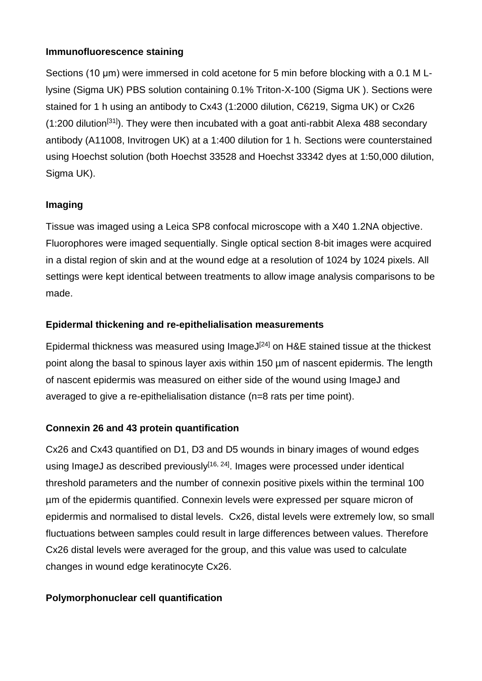## **Immunofluorescence staining**

Sections (10 μm) were immersed in cold acetone for 5 min before blocking with a 0.1 M Llysine (Sigma UK) PBS solution containing 0.1% Triton-X-100 (Sigma UK ). Sections were stained for 1 h using an antibody to Cx43 (1:2000 dilution, C6219, Sigma UK) or Cx26  $(1:200$  dilution<sup>[31]</sup>). They were then incubated with a goat anti-rabbit Alexa 488 secondary antibody (A11008, Invitrogen UK) at a 1:400 dilution for 1 h. Sections were counterstained using Hoechst solution (both Hoechst 33528 and Hoechst 33342 dyes at 1:50,000 dilution, Sigma UK).

# **Imaging**

Tissue was imaged using a Leica SP8 confocal microscope with a X40 1.2NA objective. Fluorophores were imaged sequentially. Single optical section 8-bit images were acquired in a distal region of skin and at the wound edge at a resolution of 1024 by 1024 pixels. All settings were kept identical between treatments to allow image analysis comparisons to be made.

# **Epidermal thickening and re-epithelialisation measurements**

Epidermal thickness was measured using ImageJ $[24]$  on H&E stained tissue at the thickest point along the basal to spinous layer axis within 150 µm of nascent epidermis. The length of nascent epidermis was measured on either side of the wound using ImageJ and averaged to give a re-epithelialisation distance (n=8 rats per time point).

# **Connexin 26 and 43 protein quantification**

Cx26 and Cx43 quantified on D1, D3 and D5 wounds in binary images of wound edges using ImageJ as described previously<sup>[16, 24]</sup>. Images were processed under identical threshold parameters and the number of connexin positive pixels within the terminal 100 µm of the epidermis quantified. Connexin levels were expressed per square micron of epidermis and normalised to distal levels. Cx26, distal levels were extremely low, so small fluctuations between samples could result in large differences between values. Therefore Cx26 distal levels were averaged for the group, and this value was used to calculate changes in wound edge keratinocyte Cx26.

# **Polymorphonuclear cell quantification**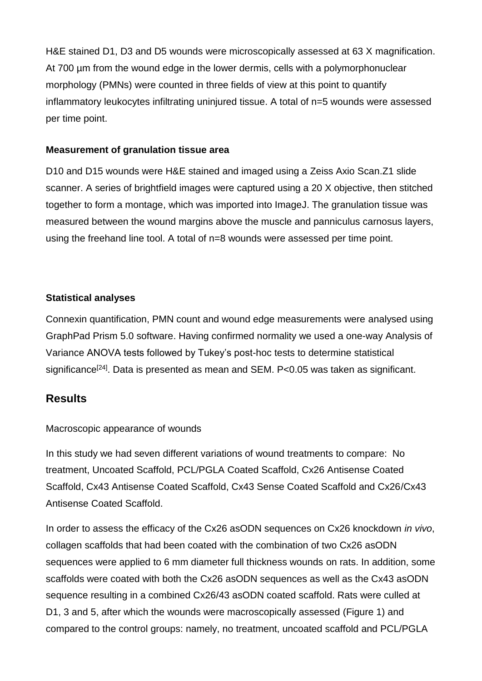H&E stained D1, D3 and D5 wounds were microscopically assessed at 63 X magnification. At 700 µm from the wound edge in the lower dermis, cells with a polymorphonuclear morphology (PMNs) were counted in three fields of view at this point to quantify inflammatory leukocytes infiltrating uninjured tissue. A total of n=5 wounds were assessed per time point.

### **Measurement of granulation tissue area**

D10 and D15 wounds were H&E stained and imaged using a Zeiss Axio Scan.Z1 slide scanner. A series of brightfield images were captured using a 20 X objective, then stitched together to form a montage, which was imported into ImageJ. The granulation tissue was measured between the wound margins above the muscle and panniculus carnosus layers, using the freehand line tool. A total of n=8 wounds were assessed per time point.

## **Statistical analyses**

Connexin quantification, PMN count and wound edge measurements were analysed using GraphPad Prism 5.0 software. Having confirmed normality we used a one-way Analysis of Variance ANOVA tests followed by Tukey's post-hoc tests to determine statistical significance<sup>[24]</sup>. Data is presented as mean and SEM. P<0.05 was taken as significant.

# **Results**

Macroscopic appearance of wounds

In this study we had seven different variations of wound treatments to compare: No treatment, Uncoated Scaffold, PCL/PGLA Coated Scaffold, Cx26 Antisense Coated Scaffold, Cx43 Antisense Coated Scaffold, Cx43 Sense Coated Scaffold and Cx26/Cx43 Antisense Coated Scaffold.

In order to assess the efficacy of the Cx26 asODN sequences on Cx26 knockdown *in vivo*, collagen scaffolds that had been coated with the combination of two Cx26 asODN sequences were applied to 6 mm diameter full thickness wounds on rats. In addition, some scaffolds were coated with both the Cx26 asODN sequences as well as the Cx43 asODN sequence resulting in a combined Cx26/43 asODN coated scaffold. Rats were culled at D1, 3 and 5, after which the wounds were macroscopically assessed (Figure 1) and compared to the control groups: namely, no treatment, uncoated scaffold and PCL/PGLA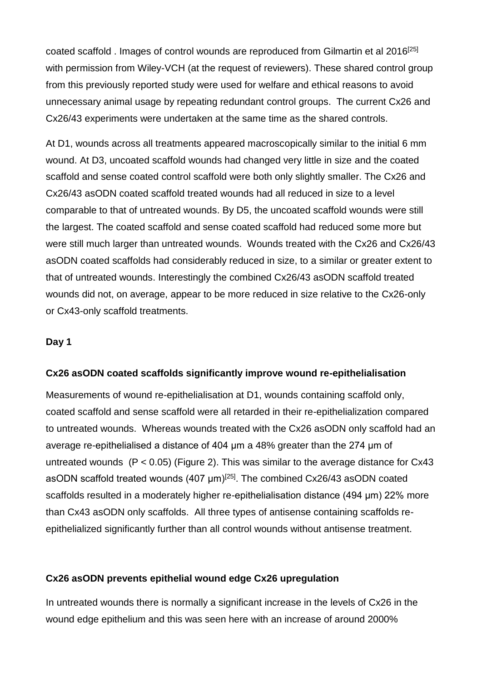coated scaffold, Images of control wounds are reproduced from Gilmartin et al 2016<sup>[25]</sup> with permission from Wiley-VCH (at the request of reviewers). These shared control group from this previously reported study were used for welfare and ethical reasons to avoid unnecessary animal usage by repeating redundant control groups. The current Cx26 and Cx26/43 experiments were undertaken at the same time as the shared controls.

At D1, wounds across all treatments appeared macroscopically similar to the initial 6 mm wound. At D3, uncoated scaffold wounds had changed very little in size and the coated scaffold and sense coated control scaffold were both only slightly smaller. The Cx26 and Cx26/43 asODN coated scaffold treated wounds had all reduced in size to a level comparable to that of untreated wounds. By D5, the uncoated scaffold wounds were still the largest. The coated scaffold and sense coated scaffold had reduced some more but were still much larger than untreated wounds. Wounds treated with the Cx26 and Cx26/43 asODN coated scaffolds had considerably reduced in size, to a similar or greater extent to that of untreated wounds. Interestingly the combined Cx26/43 asODN scaffold treated wounds did not, on average, appear to be more reduced in size relative to the Cx26-only or Cx43-only scaffold treatments.

#### **Day 1**

#### **Cx26 asODN coated scaffolds significantly improve wound re-epithelialisation**

Measurements of wound re-epithelialisation at D1, wounds containing scaffold only, coated scaffold and sense scaffold were all retarded in their re-epithelialization compared to untreated wounds. Whereas wounds treated with the Cx26 asODN only scaffold had an average re-epithelialised a distance of 404 μm a 48% greater than the 274 μm of untreated wounds  $(P < 0.05)$  (Figure 2). This was similar to the average distance for Cx43 asODN scaffold treated wounds  $(407 \,\mu m)^{[25]}$ . The combined Cx26/43 asODN coated scaffolds resulted in a moderately higher re-epithelialisation distance (494 μm) 22% more than Cx43 asODN only scaffolds. All three types of antisense containing scaffolds reepithelialized significantly further than all control wounds without antisense treatment.

#### **Cx26 asODN prevents epithelial wound edge Cx26 upregulation**

In untreated wounds there is normally a significant increase in the levels of Cx26 in the wound edge epithelium and this was seen here with an increase of around 2000%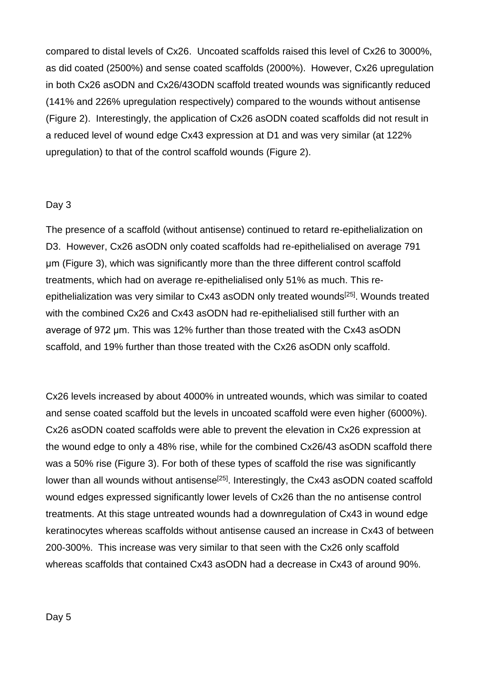compared to distal levels of Cx26. Uncoated scaffolds raised this level of Cx26 to 3000%, as did coated (2500%) and sense coated scaffolds (2000%). However, Cx26 upregulation in both Cx26 asODN and Cx26/43ODN scaffold treated wounds was significantly reduced (141% and 226% upregulation respectively) compared to the wounds without antisense (Figure 2). Interestingly, the application of Cx26 asODN coated scaffolds did not result in a reduced level of wound edge Cx43 expression at D1 and was very similar (at 122% upregulation) to that of the control scaffold wounds (Figure 2).

### Day 3

The presence of a scaffold (without antisense) continued to retard re-epithelialization on D3. However, Cx26 asODN only coated scaffolds had re-epithelialised on average 791 μm (Figure 3), which was significantly more than the three different control scaffold treatments, which had on average re-epithelialised only 51% as much. This reepithelialization was very similar to Cx43 asODN only treated wounds<sup>[25]</sup>. Wounds treated with the combined Cx26 and Cx43 asODN had re-epithelialised still further with an average of 972 μm. This was 12% further than those treated with the Cx43 asODN scaffold, and 19% further than those treated with the Cx26 asODN only scaffold.

Cx26 levels increased by about 4000% in untreated wounds, which was similar to coated and sense coated scaffold but the levels in uncoated scaffold were even higher (6000%). Cx26 asODN coated scaffolds were able to prevent the elevation in Cx26 expression at the wound edge to only a 48% rise, while for the combined Cx26/43 asODN scaffold there was a 50% rise (Figure 3). For both of these types of scaffold the rise was significantly lower than all wounds without antisense<sup>[25]</sup>. Interestingly, the Cx43 asODN coated scaffold wound edges expressed significantly lower levels of Cx26 than the no antisense control treatments. At this stage untreated wounds had a downregulation of Cx43 in wound edge keratinocytes whereas scaffolds without antisense caused an increase in Cx43 of between 200-300%. This increase was very similar to that seen with the Cx26 only scaffold whereas scaffolds that contained Cx43 asODN had a decrease in Cx43 of around 90%.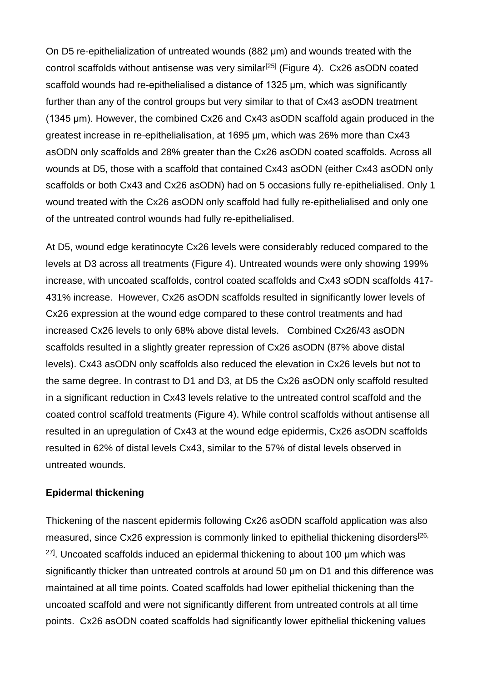On D5 re-epithelialization of untreated wounds (882 μm) and wounds treated with the control scaffolds without antisense was very similar<sup>[25]</sup> (Figure 4). Cx26 asODN coated scaffold wounds had re-epithelialised a distance of 1325 μm, which was significantly further than any of the control groups but very similar to that of Cx43 asODN treatment (1345 μm). However, the combined Cx26 and Cx43 asODN scaffold again produced in the greatest increase in re-epithelialisation, at 1695 μm, which was 26% more than Cx43 asODN only scaffolds and 28% greater than the Cx26 asODN coated scaffolds. Across all wounds at D5, those with a scaffold that contained Cx43 asODN (either Cx43 asODN only scaffolds or both Cx43 and Cx26 asODN) had on 5 occasions fully re-epithelialised. Only 1 wound treated with the Cx26 asODN only scaffold had fully re-epithelialised and only one of the untreated control wounds had fully re-epithelialised.

At D5, wound edge keratinocyte Cx26 levels were considerably reduced compared to the levels at D3 across all treatments (Figure 4). Untreated wounds were only showing 199% increase, with uncoated scaffolds, control coated scaffolds and Cx43 sODN scaffolds 417- 431% increase. However, Cx26 asODN scaffolds resulted in significantly lower levels of Cx26 expression at the wound edge compared to these control treatments and had increased Cx26 levels to only 68% above distal levels. Combined Cx26/43 asODN scaffolds resulted in a slightly greater repression of Cx26 asODN (87% above distal levels). Cx43 asODN only scaffolds also reduced the elevation in Cx26 levels but not to the same degree. In contrast to D1 and D3, at D5 the Cx26 asODN only scaffold resulted in a significant reduction in Cx43 levels relative to the untreated control scaffold and the coated control scaffold treatments (Figure 4). While control scaffolds without antisense all resulted in an upregulation of Cx43 at the wound edge epidermis, Cx26 asODN scaffolds resulted in 62% of distal levels Cx43, similar to the 57% of distal levels observed in untreated wounds.

### **Epidermal thickening**

Thickening of the nascent epidermis following Cx26 asODN scaffold application was also measured, since Cx26 expression is commonly linked to epithelial thickening disorders<sup>[26,</sup>  $27$ ]. Uncoated scaffolds induced an epidermal thickening to about 100  $\mu$ m which was significantly thicker than untreated controls at around 50 μm on D1 and this difference was maintained at all time points. Coated scaffolds had lower epithelial thickening than the uncoated scaffold and were not significantly different from untreated controls at all time points. Cx26 asODN coated scaffolds had significantly lower epithelial thickening values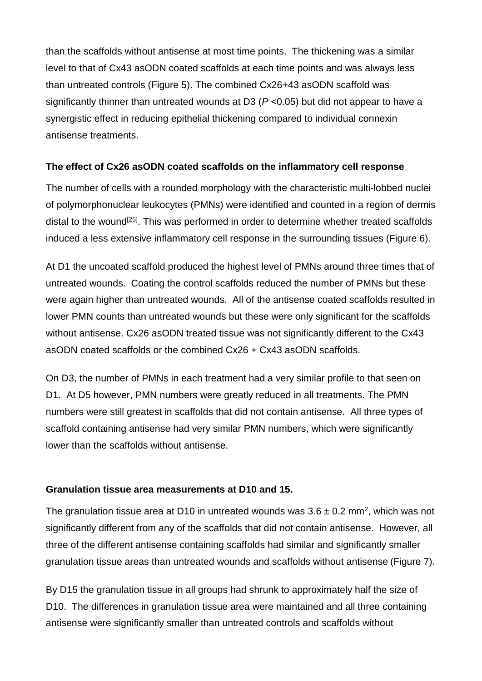than the scaffolds without antisense at most time points. The thickening was a similar level to that of Cx43 asODN coated scaffolds at each time points and was always less than untreated controls (Figure 5). The combined Cx26+43 asODN scaffold was significantly thinner than untreated wounds at D3 (*P* <0.05) but did not appear to have a synergistic effect in reducing epithelial thickening compared to individual connexin antisense treatments.

## **The effect of Cx26 asODN coated scaffolds on the inflammatory cell response**

The number of cells with a rounded morphology with the characteristic multi-lobbed nuclei of polymorphonuclear leukocytes (PMNs) were identified and counted in a region of dermis distal to the wound<sup>[25]</sup>. This was performed in order to determine whether treated scaffolds induced a less extensive inflammatory cell response in the surrounding tissues (Figure 6).

At D1 the uncoated scaffold produced the highest level of PMNs around three times that of untreated wounds. Coating the control scaffolds reduced the number of PMNs but these were again higher than untreated wounds. All of the antisense coated scaffolds resulted in lower PMN counts than untreated wounds but these were only significant for the scaffolds without antisense. Cx26 asODN treated tissue was not significantly different to the Cx43 asODN coated scaffolds or the combined Cx26 + Cx43 asODN scaffolds.

On D3, the number of PMNs in each treatment had a very similar profile to that seen on D1. At D5 however, PMN numbers were greatly reduced in all treatments. The PMN numbers were still greatest in scaffolds that did not contain antisense. All three types of scaffold containing antisense had very similar PMN numbers, which were significantly lower than the scaffolds without antisense.

## **Granulation tissue area measurements at D10 and 15.**

The granulation tissue area at D10 in untreated wounds was  $3.6 \pm 0.2$  mm<sup>2</sup>, which was not significantly different from any of the scaffolds that did not contain antisense. However, all three of the different antisense containing scaffolds had similar and significantly smaller granulation tissue areas than untreated wounds and scaffolds without antisense (Figure 7).

By D15 the granulation tissue in all groups had shrunk to approximately half the size of D10. The differences in granulation tissue area were maintained and all three containing antisense were significantly smaller than untreated controls and scaffolds without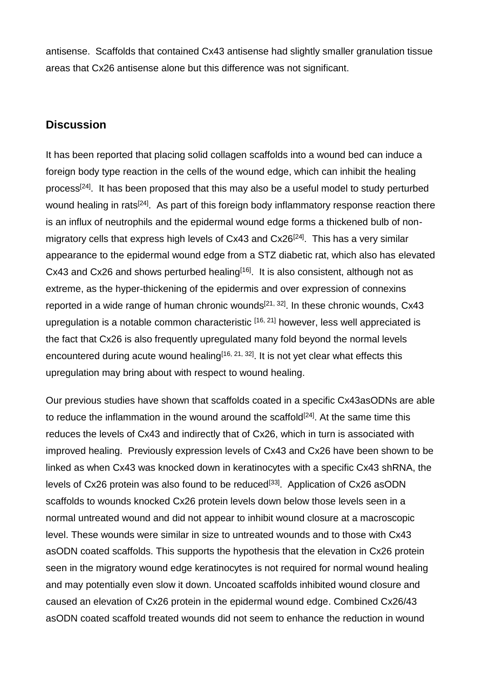antisense. Scaffolds that contained Cx43 antisense had slightly smaller granulation tissue areas that Cx26 antisense alone but this difference was not significant.

# **Discussion**

It has been reported that placing solid collagen scaffolds into a wound bed can induce a foreign body type reaction in the cells of the wound edge, which can inhibit the healing process[24]. It has been proposed that this may also be a useful model to study perturbed wound healing in rats<sup>[24]</sup>. As part of this foreign body inflammatory response reaction there is an influx of neutrophils and the epidermal wound edge forms a thickened bulb of nonmigratory cells that express high levels of Cx43 and Cx26<sup>[24]</sup>. This has a very similar appearance to the epidermal wound edge from a STZ diabetic rat, which also has elevated Cx43 and Cx26 and shows perturbed healing $[16]$ . It is also consistent, although not as extreme, as the hyper-thickening of the epidermis and over expression of connexins reported in a wide range of human chronic wounds<sup>[21, 32]</sup>. In these chronic wounds,  $Cx43$ upregulation is a notable common characteristic [16, 21] however, less well appreciated is the fact that Cx26 is also frequently upregulated many fold beyond the normal levels encountered during acute wound healing<sup>[16, 21, 32]</sup>. It is not yet clear what effects this upregulation may bring about with respect to wound healing.

Our previous studies have shown that scaffolds coated in a specific Cx43asODNs are able to reduce the inflammation in the wound around the scaffold<sup>[24]</sup>. At the same time this reduces the levels of Cx43 and indirectly that of Cx26, which in turn is associated with improved healing. Previously expression levels of Cx43 and Cx26 have been shown to be linked as when Cx43 was knocked down in keratinocytes with a specific Cx43 shRNA, the levels of Cx26 protein was also found to be reduced<sup>[33]</sup>. Application of Cx26 asODN scaffolds to wounds knocked Cx26 protein levels down below those levels seen in a normal untreated wound and did not appear to inhibit wound closure at a macroscopic level. These wounds were similar in size to untreated wounds and to those with Cx43 asODN coated scaffolds. This supports the hypothesis that the elevation in Cx26 protein seen in the migratory wound edge keratinocytes is not required for normal wound healing and may potentially even slow it down. Uncoated scaffolds inhibited wound closure and caused an elevation of Cx26 protein in the epidermal wound edge. Combined Cx26/43 asODN coated scaffold treated wounds did not seem to enhance the reduction in wound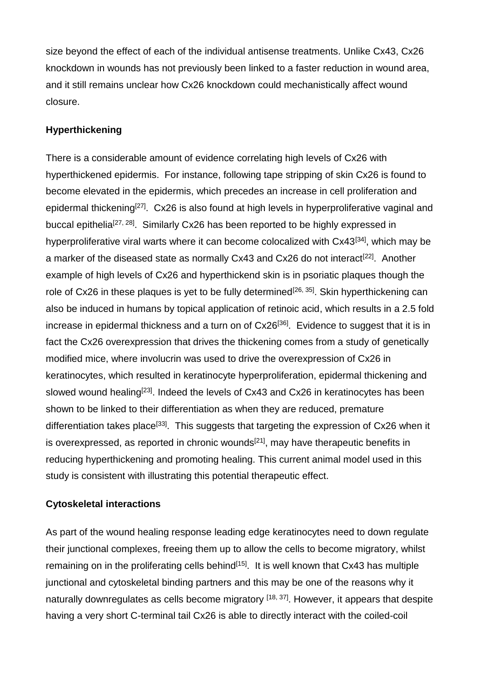size beyond the effect of each of the individual antisense treatments. Unlike Cx43, Cx26 knockdown in wounds has not previously been linked to a faster reduction in wound area, and it still remains unclear how Cx26 knockdown could mechanistically affect wound closure.

## **Hyperthickening**

There is a considerable amount of evidence correlating high levels of Cx26 with hyperthickened epidermis. For instance, following tape stripping of skin Cx26 is found to become elevated in the epidermis, which precedes an increase in cell proliferation and epidermal thickening<sup>[27]</sup>. Cx26 is also found at high levels in hyperproliferative vaginal and buccal epithelia<sup>[27, 28]</sup>. Similarly Cx26 has been reported to be highly expressed in hyperproliferative viral warts where it can become colocalized with Cx43[34], which may be a marker of the diseased state as normally Cx43 and Cx26 do not interact<sup>[22]</sup>. Another example of high levels of Cx26 and hyperthickend skin is in psoriatic plaques though the role of  $Cx26$  in these plaques is yet to be fully determined<sup>[26, 35]</sup>. Skin hyperthickening can also be induced in humans by topical application of retinoic acid, which results in a 2.5 fold increase in epidermal thickness and a turn on of Cx26<sup>[36]</sup>. Evidence to suggest that it is in fact the Cx26 overexpression that drives the thickening comes from a study of genetically modified mice, where involucrin was used to drive the overexpression of Cx26 in keratinocytes, which resulted in keratinocyte hyperproliferation, epidermal thickening and slowed wound healing<sup>[23]</sup>. Indeed the levels of Cx43 and Cx26 in keratinocytes has been shown to be linked to their differentiation as when they are reduced, premature differentiation takes place<sup>[33]</sup>. This suggests that targeting the expression of Cx26 when it is overexpressed, as reported in chronic wounds<sup>[21]</sup>, may have therapeutic benefits in reducing hyperthickening and promoting healing. This current animal model used in this study is consistent with illustrating this potential therapeutic effect.

## **Cytoskeletal interactions**

As part of the wound healing response leading edge keratinocytes need to down regulate their junctional complexes, freeing them up to allow the cells to become migratory, whilst remaining on in the proliferating cells behind<sup>[15]</sup>. It is well known that  $Cx43$  has multiple junctional and cytoskeletal binding partners and this may be one of the reasons why it naturally downregulates as cells become migratory [18, 37]. However, it appears that despite having a very short C-terminal tail Cx26 is able to directly interact with the coiled-coil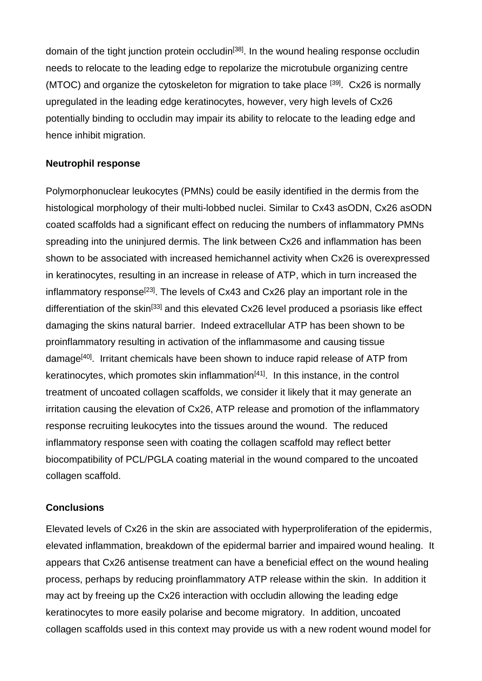domain of the tight junction protein occludin<sup>[38]</sup>. In the wound healing response occludin needs to relocate to the leading edge to repolarize the microtubule organizing centre (MTOC) and organize the cytoskeleton for migration to take place [39]. Cx26 is normally upregulated in the leading edge keratinocytes, however, very high levels of Cx26 potentially binding to occludin may impair its ability to relocate to the leading edge and hence inhibit migration.

### **Neutrophil response**

Polymorphonuclear leukocytes (PMNs) could be easily identified in the dermis from the histological morphology of their multi-lobbed nuclei. Similar to Cx43 asODN, Cx26 asODN coated scaffolds had a significant effect on reducing the numbers of inflammatory PMNs spreading into the uninjured dermis. The link between Cx26 and inflammation has been shown to be associated with increased hemichannel activity when Cx26 is overexpressed in keratinocytes, resulting in an increase in release of ATP, which in turn increased the inflammatory response<sup>[23]</sup>. The levels of Cx43 and Cx26 play an important role in the differentiation of the skin<sup>[33]</sup> and this elevated Cx26 level produced a psoriasis like effect damaging the skins natural barrier. Indeed extracellular ATP has been shown to be proinflammatory resulting in activation of the inflammasome and causing tissue damage<sup>[40]</sup>. Irritant chemicals have been shown to induce rapid release of ATP from keratinocytes, which promotes skin inflammation $[41]$ . In this instance, in the control treatment of uncoated collagen scaffolds, we consider it likely that it may generate an irritation causing the elevation of Cx26, ATP release and promotion of the inflammatory response recruiting leukocytes into the tissues around the wound. The reduced inflammatory response seen with coating the collagen scaffold may reflect better biocompatibility of PCL/PGLA coating material in the wound compared to the uncoated collagen scaffold.

## **Conclusions**

Elevated levels of Cx26 in the skin are associated with hyperproliferation of the epidermis, elevated inflammation, breakdown of the epidermal barrier and impaired wound healing. It appears that Cx26 antisense treatment can have a beneficial effect on the wound healing process, perhaps by reducing proinflammatory ATP release within the skin. In addition it may act by freeing up the Cx26 interaction with occludin allowing the leading edge keratinocytes to more easily polarise and become migratory. In addition, uncoated collagen scaffolds used in this context may provide us with a new rodent wound model for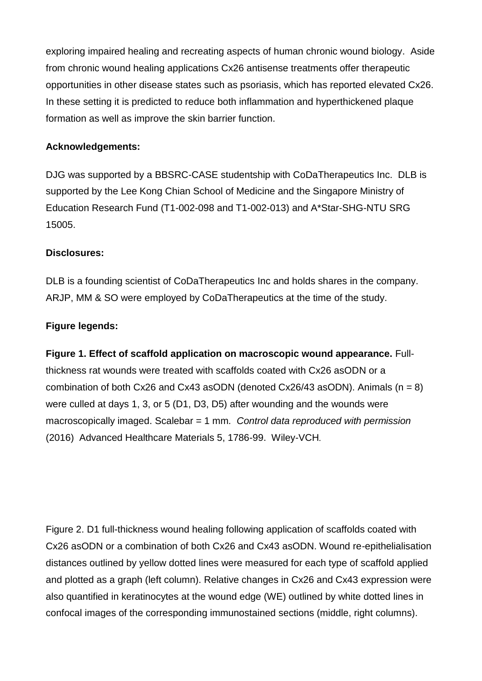exploring impaired healing and recreating aspects of human chronic wound biology. Aside from chronic wound healing applications Cx26 antisense treatments offer therapeutic opportunities in other disease states such as psoriasis, which has reported elevated Cx26. In these setting it is predicted to reduce both inflammation and hyperthickened plaque formation as well as improve the skin barrier function.

### **Acknowledgements:**

DJG was supported by a BBSRC-CASE studentship with CoDaTherapeutics Inc. DLB is supported by the Lee Kong Chian School of Medicine and the Singapore Ministry of Education Research Fund (T1-002-098 and T1-002-013) and A\*Star-SHG-NTU SRG 15005.

## **Disclosures:**

DLB is a founding scientist of CoDaTherapeutics Inc and holds shares in the company. ARJP, MM & SO were employed by CoDaTherapeutics at the time of the study.

### **Figure legends:**

**Figure 1. Effect of scaffold application on macroscopic wound appearance.** Fullthickness rat wounds were treated with scaffolds coated with Cx26 asODN or a combination of both Cx26 and Cx43 asODN (denoted Cx26/43 asODN). Animals  $(n = 8)$ were culled at days 1, 3, or 5 (D1, D3, D5) after wounding and the wounds were macroscopically imaged. Scalebar = 1 mm*. Control data reproduced with permission*  (2016) Advanced Healthcare Materials 5, 1786-99. Wiley-VCH*.*

Figure 2. D1 full-thickness wound healing following application of scaffolds coated with Cx26 asODN or a combination of both Cx26 and Cx43 asODN. Wound re-epithelialisation distances outlined by yellow dotted lines were measured for each type of scaffold applied and plotted as a graph (left column). Relative changes in Cx26 and Cx43 expression were also quantified in keratinocytes at the wound edge (WE) outlined by white dotted lines in confocal images of the corresponding immunostained sections (middle, right columns).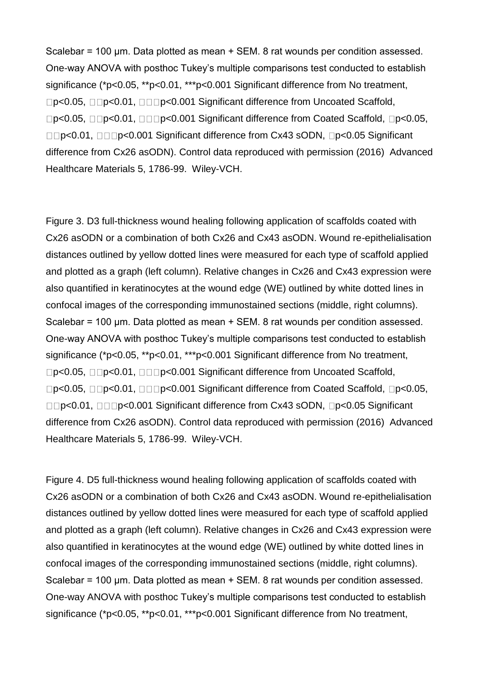Scalebar = 100 μm. Data plotted as mean + SEM. 8 rat wounds per condition assessed. One-way ANOVA with posthoc Tukey's multiple comparisons test conducted to establish significance (\*p<0.05, \*\*p<0.01, \*\*\*p<0.001 Significant difference from No treatment, □p<0.05, □□p<0.01, □□□p<0.001 Significant difference from Uncoated Scaffold, Dp<0.05, DDp<0.01, DDDe<0.001 Significant difference from Coated Scaffold, Dp<0.05, **□□p<0.01, □□□p<0.001 Significant difference from Cx43 sODN, □p<0.05 Significant** difference from Cx26 asODN). Control data reproduced with permission (2016) Advanced Healthcare Materials 5, 1786-99. Wiley-VCH.

Figure 3. D3 full-thickness wound healing following application of scaffolds coated with Cx26 asODN or a combination of both Cx26 and Cx43 asODN. Wound re-epithelialisation distances outlined by yellow dotted lines were measured for each type of scaffold applied and plotted as a graph (left column). Relative changes in Cx26 and Cx43 expression were also quantified in keratinocytes at the wound edge (WE) outlined by white dotted lines in confocal images of the corresponding immunostained sections (middle, right columns). Scalebar = 100 μm. Data plotted as mean + SEM. 8 rat wounds per condition assessed. One-way ANOVA with posthoc Tukey's multiple comparisons test conducted to establish significance (\*p<0.05, \*\*p<0.01, \*\*\*p<0.001 Significant difference from No treatment, □p<0.05, □□p<0.01, □□□p<0.001 Significant difference from Uncoated Scaffold, D<sub>P</sub><0.05, <sub>□</sub>D<sub>P</sub><0.01, □□D<sub>P</sub><0.001 Significant difference from Coated Scaffold, □p<0.05, DOD=0.01, DOOD=0.001 Significant difference from Cx43 sODN, OD=0.05 Significant difference from Cx26 asODN). Control data reproduced with permission (2016) Advanced Healthcare Materials 5, 1786-99. Wiley-VCH.

Figure 4. D5 full-thickness wound healing following application of scaffolds coated with Cx26 asODN or a combination of both Cx26 and Cx43 asODN. Wound re-epithelialisation distances outlined by yellow dotted lines were measured for each type of scaffold applied and plotted as a graph (left column). Relative changes in Cx26 and Cx43 expression were also quantified in keratinocytes at the wound edge (WE) outlined by white dotted lines in confocal images of the corresponding immunostained sections (middle, right columns). Scalebar = 100 μm. Data plotted as mean + SEM. 8 rat wounds per condition assessed. One-way ANOVA with posthoc Tukey's multiple comparisons test conducted to establish significance (\*p<0.05, \*\*p<0.01, \*\*\*p<0.001 Significant difference from No treatment,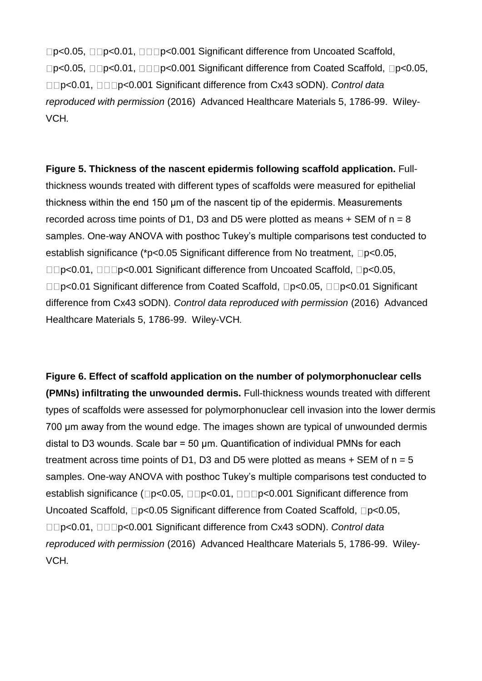□p<0.05, □□p<0.01, □□□p<0.001 Significant difference from Uncoated Scaffold, Deta Co.05, provided Scaffold, pc0.05, pc0.05, pc0.05, pc0.05, pcd0.05, pcd0.05, p<0.01, p<0.001 Significant difference from Cx43 sODN). *Control data reproduced with permission* (2016) Advanced Healthcare Materials 5, 1786-99. Wiley-VCH*.*

**Figure 5. Thickness of the nascent epidermis following scaffold application.** Fullthickness wounds treated with different types of scaffolds were measured for epithelial thickness within the end 150 μm of the nascent tip of the epidermis. Measurements recorded across time points of D1, D3 and D5 were plotted as means  $+$  SEM of  $n = 8$ samples. One-way ANOVA with posthoc Tukey's multiple comparisons test conducted to establish significance (\*p<0.05 Significant difference from No treatment,  $\square p$  <0.05, **□□p<0.01, □□□p<0.001 Significant difference from Uncoated Scaffold, □p<0.05,** □□p<0.01 Significant difference from Coated Scaffold, □p<0.05, □□p<0.01 Significant difference from Cx43 sODN). *Control data reproduced with permission* (2016) Advanced Healthcare Materials 5, 1786-99. Wiley-VCH*.*

**Figure 6. Effect of scaffold application on the number of polymorphonuclear cells (PMNs) infiltrating the unwounded dermis.** Full-thickness wounds treated with different types of scaffolds were assessed for polymorphonuclear cell invasion into the lower dermis 700 μm away from the wound edge. The images shown are typical of unwounded dermis distal to D3 wounds. Scale bar = 50 μm. Quantification of individual PMNs for each treatment across time points of D1, D3 and D5 were plotted as means  $+$  SEM of  $n = 5$ samples. One-way ANOVA with posthoc Tukey's multiple comparisons test conducted to establish significance ( $\Box p$ <0.05,  $\Box \Box p$ <0.01,  $\Box \Box p$ <0.001 Significant difference from Uncoated Scaffold,  $\neg p < 0.05$  Significant difference from Coated Scaffold,  $\neg p < 0.05$ , p<0.01, p<0.001 Significant difference from Cx43 sODN). *Control data reproduced with permission* (2016) Advanced Healthcare Materials 5, 1786-99. Wiley-VCH*.*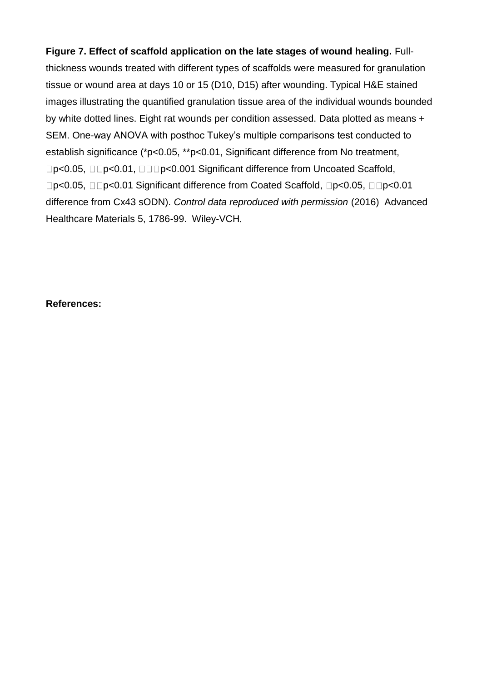**Figure 7. Effect of scaffold application on the late stages of wound healing.** Fullthickness wounds treated with different types of scaffolds were measured for granulation tissue or wound area at days 10 or 15 (D10, D15) after wounding. Typical H&E stained images illustrating the quantified granulation tissue area of the individual wounds bounded by white dotted lines. Eight rat wounds per condition assessed. Data plotted as means + SEM. One-way ANOVA with posthoc Tukey's multiple comparisons test conducted to establish significance (\*p<0.05, \*\*p<0.01, Significant difference from No treatment, □p<0.05, □□p<0.01, □□□p<0.001 Significant difference from Uncoated Scaffold, □p<0.05, □□p<0.01 Significant difference from Coated Scaffold, □p<0.05, □□p<0.01 difference from Cx43 sODN). *Control data reproduced with permission* (2016) Advanced Healthcare Materials 5, 1786-99. Wiley-VCH*.*

#### **References:**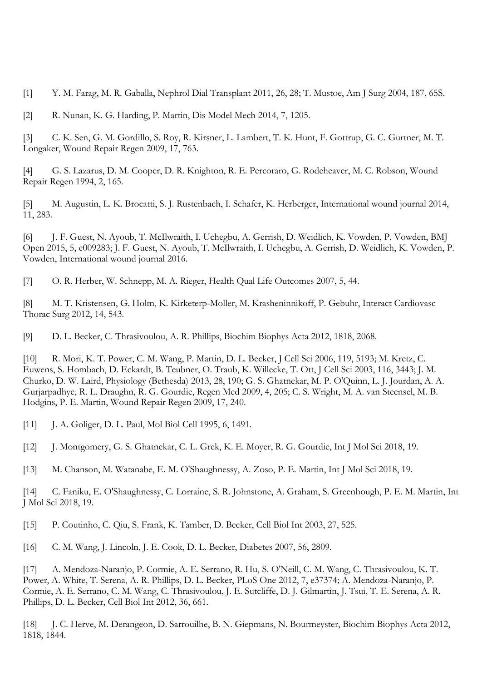[1] Y. M. Farag, M. R. Gaballa, Nephrol Dial Transplant 2011, 26, 28; T. Mustoe, Am J Surg 2004, 187, 65S.

[2] R. Nunan, K. G. Harding, P. Martin, Dis Model Mech 2014, 7, 1205.

[3] C. K. Sen, G. M. Gordillo, S. Roy, R. Kirsner, L. Lambert, T. K. Hunt, F. Gottrup, G. C. Gurtner, M. T. Longaker, Wound Repair Regen 2009, 17, 763.

[4] G. S. Lazarus, D. M. Cooper, D. R. Knighton, R. E. Percoraro, G. Rodeheaver, M. C. Robson, Wound Repair Regen 1994, 2, 165.

[5] M. Augustin, L. K. Brocatti, S. J. Rustenbach, I. Schafer, K. Herberger, International wound journal 2014, 11, 283.

[6] J. F. Guest, N. Ayoub, T. McIlwraith, I. Uchegbu, A. Gerrish, D. Weidlich, K. Vowden, P. Vowden, BMJ Open 2015, 5, e009283; J. F. Guest, N. Ayoub, T. McIlwraith, I. Uchegbu, A. Gerrish, D. Weidlich, K. Vowden, P. Vowden, International wound journal 2016.

[7] O. R. Herber, W. Schnepp, M. A. Rieger, Health Qual Life Outcomes 2007, 5, 44.

[8] M. T. Kristensen, G. Holm, K. Kirketerp-Moller, M. Krasheninnikoff, P. Gebuhr, Interact Cardiovasc Thorac Surg 2012, 14, 543.

[9] D. L. Becker, C. Thrasivoulou, A. R. Phillips, Biochim Biophys Acta 2012, 1818, 2068.

[10] R. Mori, K. T. Power, C. M. Wang, P. Martin, D. L. Becker, J Cell Sci 2006, 119, 5193; M. Kretz, C. Euwens, S. Hombach, D. Eckardt, B. Teubner, O. Traub, K. Willecke, T. Ott, J Cell Sci 2003, 116, 3443; J. M. Churko, D. W. Laird, Physiology (Bethesda) 2013, 28, 190; G. S. Ghatnekar, M. P. O'Quinn, L. J. Jourdan, A. A. Gurjarpadhye, R. L. Draughn, R. G. Gourdie, Regen Med 2009, 4, 205; C. S. Wright, M. A. van Steensel, M. B. Hodgins, P. E. Martin, Wound Repair Regen 2009, 17, 240.

[11] J. A. Goliger, D. L. Paul, Mol Biol Cell 1995, 6, 1491.

[12] J. Montgomery, G. S. Ghatnekar, C. L. Grek, K. E. Moyer, R. G. Gourdie, Int J Mol Sci 2018, 19.

[13] M. Chanson, M. Watanabe, E. M. O'Shaughnessy, A. Zoso, P. E. Martin, Int J Mol Sci 2018, 19.

[14] C. Faniku, E. O'Shaughnessy, C. Lorraine, S. R. Johnstone, A. Graham, S. Greenhough, P. E. M. Martin, Int J Mol Sci 2018, 19.

[15] P. Coutinho, C. Qiu, S. Frank, K. Tamber, D. Becker, Cell Biol Int 2003, 27, 525.

[16] C. M. Wang, J. Lincoln, J. E. Cook, D. L. Becker, Diabetes 2007, 56, 2809.

[17] A. Mendoza-Naranjo, P. Cormie, A. E. Serrano, R. Hu, S. O'Neill, C. M. Wang, C. Thrasivoulou, K. T. Power, A. White, T. Serena, A. R. Phillips, D. L. Becker, PLoS One 2012, 7, e37374; A. Mendoza-Naranjo, P. Cormie, A. E. Serrano, C. M. Wang, C. Thrasivoulou, J. E. Sutcliffe, D. J. Gilmartin, J. Tsui, T. E. Serena, A. R. Phillips, D. L. Becker, Cell Biol Int 2012, 36, 661.

[18] J. C. Herve, M. Derangeon, D. Sarrouilhe, B. N. Giepmans, N. Bourmeyster, Biochim Biophys Acta 2012, 1818, 1844.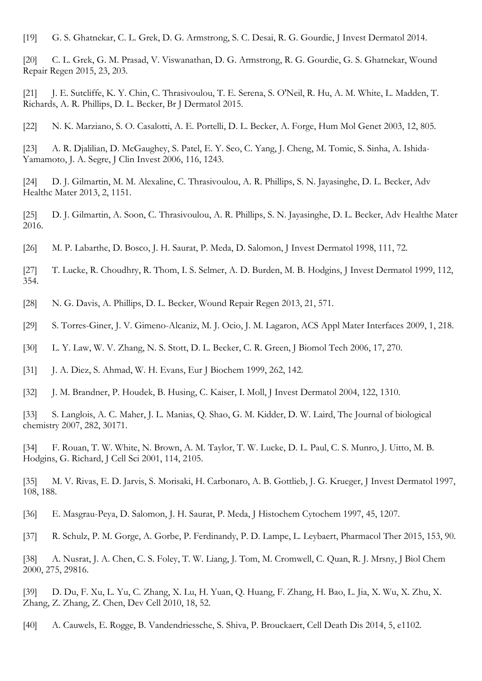[19] G. S. Ghatnekar, C. L. Grek, D. G. Armstrong, S. C. Desai, R. G. Gourdie, J Invest Dermatol 2014.

[20] C. L. Grek, G. M. Prasad, V. Viswanathan, D. G. Armstrong, R. G. Gourdie, G. S. Ghatnekar, Wound Repair Regen 2015, 23, 203.

[21] J. E. Sutcliffe, K. Y. Chin, C. Thrasivoulou, T. E. Serena, S. O'Neil, R. Hu, A. M. White, L. Madden, T. Richards, A. R. Phillips, D. L. Becker, Br J Dermatol 2015.

[22] N. K. Marziano, S. O. Casalotti, A. E. Portelli, D. L. Becker, A. Forge, Hum Mol Genet 2003, 12, 805.

[23] A. R. Djalilian, D. McGaughey, S. Patel, E. Y. Seo, C. Yang, J. Cheng, M. Tomic, S. Sinha, A. Ishida-Yamamoto, J. A. Segre, J Clin Invest 2006, 116, 1243.

[24] D. J. Gilmartin, M. M. Alexaline, C. Thrasivoulou, A. R. Phillips, S. N. Jayasinghe, D. L. Becker, Adv Healthc Mater 2013, 2, 1151.

[25] D. J. Gilmartin, A. Soon, C. Thrasivoulou, A. R. Phillips, S. N. Jayasinghe, D. L. Becker, Adv Healthc Mater 2016.

[26] M. P. Labarthe, D. Bosco, J. H. Saurat, P. Meda, D. Salomon, J Invest Dermatol 1998, 111, 72.

- [27] T. Lucke, R. Choudhry, R. Thom, I. S. Selmer, A. D. Burden, M. B. Hodgins, J Invest Dermatol 1999, 112, 354.
- [28] N. G. Davis, A. Phillips, D. L. Becker, Wound Repair Regen 2013, 21, 571.
- [29] S. Torres-Giner, J. V. Gimeno-Alcaniz, M. J. Ocio, J. M. Lagaron, ACS Appl Mater Interfaces 2009, 1, 218.
- [30] L. Y. Law, W. V. Zhang, N. S. Stott, D. L. Becker, C. R. Green, J Biomol Tech 2006, 17, 270.
- [31] J. A. Diez, S. Ahmad, W. H. Evans, Eur J Biochem 1999, 262, 142.
- [32] J. M. Brandner, P. Houdek, B. Husing, C. Kaiser, I. Moll, J Invest Dermatol 2004, 122, 1310.

[33] S. Langlois, A. C. Maher, J. L. Manias, Q. Shao, G. M. Kidder, D. W. Laird, The Journal of biological chemistry 2007, 282, 30171.

[34] F. Rouan, T. W. White, N. Brown, A. M. Taylor, T. W. Lucke, D. L. Paul, C. S. Munro, J. Uitto, M. B. Hodgins, G. Richard, J Cell Sci 2001, 114, 2105.

[35] M. V. Rivas, E. D. Jarvis, S. Morisaki, H. Carbonaro, A. B. Gottlieb, J. G. Krueger, J Invest Dermatol 1997, 108, 188.

- [36] E. Masgrau-Peya, D. Salomon, J. H. Saurat, P. Meda, J Histochem Cytochem 1997, 45, 1207.
- [37] R. Schulz, P. M. Gorge, A. Gorbe, P. Ferdinandy, P. D. Lampe, L. Leybaert, Pharmacol Ther 2015, 153, 90.

[38] A. Nusrat, J. A. Chen, C. S. Foley, T. W. Liang, J. Tom, M. Cromwell, C. Quan, R. J. Mrsny, J Biol Chem 2000, 275, 29816.

[39] D. Du, F. Xu, L. Yu, C. Zhang, X. Lu, H. Yuan, Q. Huang, F. Zhang, H. Bao, L. Jia, X. Wu, X. Zhu, X. Zhang, Z. Zhang, Z. Chen, Dev Cell 2010, 18, 52.

[40] A. Cauwels, E. Rogge, B. Vandendriessche, S. Shiva, P. Brouckaert, Cell Death Dis 2014, 5, e1102.